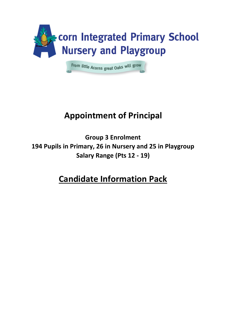

# **Appointment of Principal**

**Group 3 Enrolment 194 Pupils in Primary, 26 in Nursery and 25 in Playgroup Salary Range (Pts 12 - 19)**

# **Candidate Information Pack**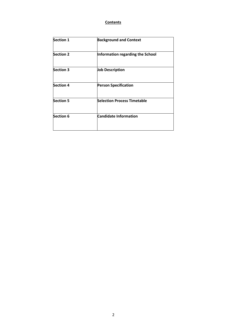# **Contents**

| <b>Section 1</b> | <b>Background and Context</b>      |  |
|------------------|------------------------------------|--|
| <b>Section 2</b> | Information regarding the School   |  |
| <b>Section 3</b> | <b>Job Description</b>             |  |
| <b>Section 4</b> | <b>Person Specification</b>        |  |
| <b>Section 5</b> | <b>Selection Process Timetable</b> |  |
| <b>Section 6</b> | <b>Candidate Information</b>       |  |
|                  |                                    |  |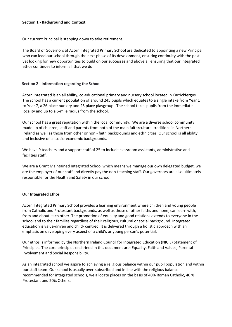#### **Section 1 - Background and Context**

Our current Principal is stepping down to take retirement.

The Board of Governors at Acorn Integrated Primary School are dedicated to appointing a new Principal who can lead our school through the next phase of its development, ensuring continuity with the past yet looking for new opportunities to build on our successes and above all ensuring that our integrated ethos continues to inform all that we do.

#### **Section 2 - Information regarding the School**

Acorn Integrated is an all ability, co-educational primary and nursery school located in Carrickfergus. The school has a current population of around 245 pupils which equates to a single intake from Year 1 to Year 7, a 26 place nursery and 25 place playgroup. The school takes pupils from the immediate locality and up to a 6-mile radius from the school.

Our school has a great reputation within the local community. We are a diverse school community made up of children, staff and parents from both of the main faith/cultural traditions in Northern Ireland as well as those from other or non - faith backgrounds and ethnicities. Our school is all ability and inclusive of all socio-economic backgrounds.

We have 9 teachers and a support staff of 25 to include classroom assistants, administrative and facilities staff.

We are a Grant Maintained Integrated School which means we manage our own delegated budget, we are the employer of our staff and directly pay the non-teaching staff. Our governors are also ultimately responsible for the Health and Safety in our school.

#### **Our Integrated Ethos**

Acorn Integrated Primary School provides a learning environment where children and young people from Catholic and Protestant backgrounds, as well as those of other faiths and none, can learn with, from and about each other. The promotion of equality and good relations extends to everyone in the school and to their families regardless of their religious, cultural or social background. Integrated education is value-driven and child- centred. It is delivered through a holistic approach with an emphasis on developing every aspect of a child's or young person's potential.

Our ethos is informed by the Northern Ireland Council for Integrated Education (NICIE) Statement of Principles. The core principles enshrined in this document are: Equality, Faith and Values, Parental Involvement and Social Responsibility.

As an integrated school we aspire to achieving a religious balance within our pupil population and within our staff team. Our school is usually over-subscribed and in line with the religious balance recommended for integrated schools, we allocate places on the basis of 40% Roman Catholic, 40 % Protestant and 20% Others**.**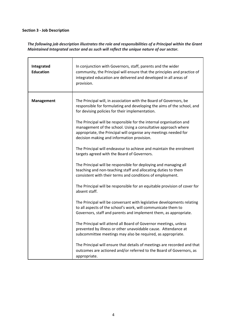# **Section 3 - Job Description**

*The following job description illustrates the role and responsibilities of a Principal within the Grant Maintained Integrated sector and as such will reflect the unique nature of our sector.* 

| Integrated<br><b>Education</b> | In conjunction with Governors, staff, parents and the wider<br>community, the Principal will ensure that the principles and practice of<br>integrated education are delivered and developed in all areas of<br>provision.                              |
|--------------------------------|--------------------------------------------------------------------------------------------------------------------------------------------------------------------------------------------------------------------------------------------------------|
| Management                     | The Principal will, in association with the Board of Governors, be<br>responsible for formulating and developing the aims of the school, and<br>for devising policies for their implementation.                                                        |
|                                | The Principal will be responsible for the internal organisation and<br>management of the school. Using a consultative approach where<br>appropriate, the Principal will organise any meetings needed for<br>decision making and information provision. |
|                                | The Principal will endeavour to achieve and maintain the enrolment<br>targets agreed with the Board of Governors.                                                                                                                                      |
|                                | The Principal will be responsible for deploying and managing all<br>teaching and non-teaching staff and allocating duties to them<br>consistent with their terms and conditions of employment.                                                         |
|                                | The Principal will be responsible for an equitable provision of cover for<br>absent staff.                                                                                                                                                             |
|                                | The Principal will be conversant with legislative developments relating<br>to all aspects of the school's work, will communicate them to<br>Governors, staff and parents and implement them, as appropriate.                                           |
|                                | The Principal will attend all Board of Governor meetings, unless<br>prevented by illness or other unavoidable cause. Attendance at<br>subcommittee meetings may also be required, as appropriate.                                                      |
|                                | The Principal will ensure that details of meetings are recorded and that<br>outcomes are actioned and/or referred to the Board of Governors, as<br>appropriate.                                                                                        |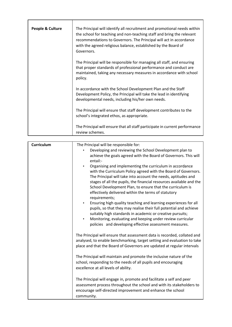| People & Culture | The Principal will identify all recruitment and promotional needs within<br>the school for teaching and non-teaching staff and bring the relevant<br>recommendations to Governors. The Principal will act in accordance<br>with the agreed religious balance, established by the Board of<br>Governors. |
|------------------|---------------------------------------------------------------------------------------------------------------------------------------------------------------------------------------------------------------------------------------------------------------------------------------------------------|
|                  | The Principal will be responsible for managing all staff, and ensuring<br>that proper standards of professional performance and conduct are<br>maintained, taking any necessary measures in accordance with school<br>policy.                                                                           |
|                  | In accordance with the School Development Plan and the Staff<br>Development Policy, the Principal will take the lead in identifying<br>developmental needs, including his/her own needs.                                                                                                                |
|                  | The Principal will ensure that staff development contributes to the<br>school's integrated ethos, as appropriate.                                                                                                                                                                                       |
|                  | The Principal will ensure that all staff participate in current performance<br>review schemes.                                                                                                                                                                                                          |

| <b>Curriculum</b> | The Principal will be responsible for:                                                                                                                                                                                                                                                                                                                                                                  |  |
|-------------------|---------------------------------------------------------------------------------------------------------------------------------------------------------------------------------------------------------------------------------------------------------------------------------------------------------------------------------------------------------------------------------------------------------|--|
|                   | Developing and reviewing the School Development plan to<br>achieve the goals agreed with the Board of Governors. This will<br>entail:-                                                                                                                                                                                                                                                                  |  |
|                   | Organising and implementing the curriculum in accordance<br>with the Curriculum Policy agreed with the Board of Governors.<br>The Principal will take into account the needs, aptitudes and<br>stages of all the pupils, the financial resources available and the<br>School Development Plan, to ensure that the curriculum is<br>effectively delivered within the terms of statutory<br>requirements; |  |
|                   | Ensuring high quality teaching and learning experiences for all<br>$\bullet$<br>pupils, so that they may realise their full potential and achieve<br>suitably high standards in academic or creative pursuits;<br>Monitoring, evaluating and keeping under review curricular<br>$\bullet$<br>policies and developing effective assessment measures.                                                     |  |
|                   | The Principal will ensure that assessment data is recorded, collated and<br>analysed, to enable benchmarking, target setting and evaluation to take<br>place and that the Board of Governors are updated at regular intervals                                                                                                                                                                           |  |
|                   | The Principal will maintain and promote the inclusive nature of the<br>school, responding to the needs of all pupils and encouraging<br>excellence at all levels of ability.                                                                                                                                                                                                                            |  |
|                   | The Principal will engage in, promote and facilitate a self and peer<br>assessment process throughout the school and with its stakeholders to<br>encourage self-directed improvement and enhance the school<br>community.                                                                                                                                                                               |  |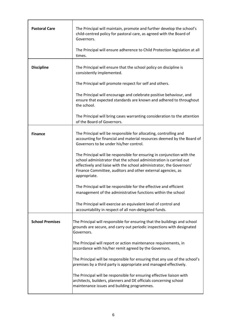| <b>Pastoral Care</b>   | The Principal will maintain, promote and further develop the school's<br>child-centred policy for pastoral care, as agreed with the Board of<br>Governors.                                                                                                                                          |  |
|------------------------|-----------------------------------------------------------------------------------------------------------------------------------------------------------------------------------------------------------------------------------------------------------------------------------------------------|--|
|                        | The Principal will ensure adherence to Child Protection legislation at all<br>times.                                                                                                                                                                                                                |  |
| <b>Discipline</b>      | The Principal will ensure that the school policy on discipline is<br>consistently implemented.                                                                                                                                                                                                      |  |
|                        | The Principal will promote respect for self and others.                                                                                                                                                                                                                                             |  |
|                        | The Principal will encourage and celebrate positive behaviour, and<br>ensure that expected standards are known and adhered to throughout<br>the school.                                                                                                                                             |  |
|                        | The Principal will bring cases warranting consideration to the attention<br>of the Board of Governors.                                                                                                                                                                                              |  |
| <b>Finance</b>         | The Principal will be responsible for allocating, controlling and<br>accounting for financial and material resources deemed by the Board of<br>Governors to be under his/her control.                                                                                                               |  |
|                        | The Principal will be responsible for ensuring in conjunction with the<br>school administrator that the school administration is carried out<br>effectively and liaise with the school administrator, the Governors'<br>Finance Committee, auditors and other external agencies, as<br>appropriate. |  |
|                        | The Principal will be responsible for the effective and efficient                                                                                                                                                                                                                                   |  |
|                        | management of the administrative functions within the school                                                                                                                                                                                                                                        |  |
|                        | The Principal will exercise an equivalent level of control and<br>accountability in respect of all non-delegated funds.                                                                                                                                                                             |  |
| <b>School Premises</b> | The Principal will responsible for ensuring that the buildings and school<br>grounds are secure, and carry out periodic inspections with designated<br>Governors.                                                                                                                                   |  |
|                        | The Principal will report or action maintenance requirements, in<br>accordance with his/her remit agreed by the Governors.                                                                                                                                                                          |  |
|                        | The Principal will be responsible for ensuring that any use of the school's<br>premises by a third party is appropriate and managed effectively.                                                                                                                                                    |  |
|                        | The Principal will be responsible for ensuring effective liaison with<br>architects, builders, planners and DE officials concerning school<br>maintenance issues and building programmes.                                                                                                           |  |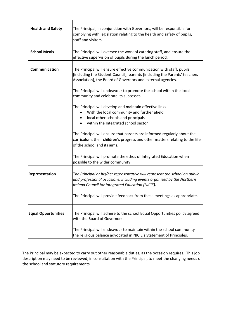| <b>Health and Safety</b>   | The Principal, in conjunction with Governors, will be responsible for<br>complying with legislation relating to the health and safety of pupils,<br>staff and visitors.                                          |  |
|----------------------------|------------------------------------------------------------------------------------------------------------------------------------------------------------------------------------------------------------------|--|
| <b>School Meals</b>        | The Principal will oversee the work of catering staff, and ensure the<br>effective supervision of pupils during the lunch period.                                                                                |  |
| Communication              | The Principal will ensure effective communication with staff, pupils<br>[including the Student Council], parents [including the Parents' teachers<br>Association], the Board of Governors and external agencies. |  |
|                            | The Principal will endeavour to promote the school within the local<br>community and celebrate its successes.                                                                                                    |  |
|                            | The Principal will develop and maintain effective links<br>With the local community and further afield.<br>local other schools and principals<br>within the Integrated school sector                             |  |
|                            | The Principal will ensure that parents are informed regularly about the<br>curriculum, their children's progress and other matters relating to the life<br>of the school and its aims.                           |  |
|                            | The Principal will promote the ethos of Integrated Education when<br>possible to the wider community                                                                                                             |  |
| Representation             | The Principal or his/her representative will represent the school on public<br>and professional occasions, including events organised by the Northern<br>Ireland Council for Integrated Education (NICIE).       |  |
|                            | The Principal will provide feedback from these meetings as appropriate.                                                                                                                                          |  |
| <b>Equal Opportunities</b> | The Principal will adhere to the school Equal Opportunities policy agreed<br>with the Board of Governors.                                                                                                        |  |
|                            | The Principal will endeavour to maintain within the school community<br>the religious balance advocated in NICIE's Statement of Principles.                                                                      |  |

The Principal may be expected to carry out other reasonable duties, as the occasion requires. This job description may need to be reviewed, in consultation with the Principal, to meet the changing needs of the school and statutory requirements.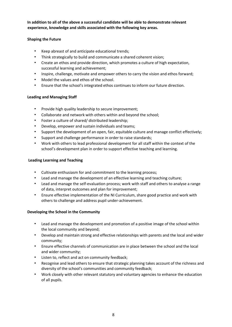**In addition to all of the above a successful candidate will be able to demonstrate relevant experience, knowledge and skills associated with the following key areas.** 

# **Shaping the Future**

- Keep abreast of and anticipate educational trends;
- Think strategically to build and communicate a shared coherent vision;
- Create an ethos and provide direction, which promotes a culture of high expectation, successful learning and achievement;
- Inspire, challenge, motivate and empower others to carry the vision and ethos forward;
- Model the values and ethos of the school.
- Ensure that the school's integrated ethos continues to inform our future direction.

# **Leading and Managing Staff**

- Provide high quality leadership to secure improvement;
- Collaborate and network with others within and beyond the school;
- Foster a culture of shared/ distributed leadership;
- Develop, empower and sustain individuals and teams;
- Support the development of an open, fair, equitable culture and manage conflict effectively;
- Support and challenge performance in order to raise standards;
- Work with others to lead professional development for all staff within the context of the school's development plan in order to support effective teaching and learning.

# **Leading Learning and Teaching**

- Cultivate enthusiasm for and commitment to the learning process;
- Lead and manage the development of an effective learning and teaching culture;
- Lead and manage the self-evaluation process; work with staff and others to analyse a range of data, interpret outcomes and plan for improvement;
- Ensure effective implementation of the NI Curriculum, share good practice and work with others to challenge and address pupil under-achievement.

# **Developing the School in the Community**

- Lead and manage the development and promotion of a positive image of the school within the local community and beyond;
- Develop and maintain strong and effective relationships with parents and the local and wider community;
- Ensure effective channels of communication are in place between the school and the local and wider community;
- Listen to, reflect and act on community feedback;
- Recognise and lead others to ensure that strategic planning takes account of the richness and diversity of the school's communities and community feedback;
- Work closely with other relevant statutory and voluntary agencies to enhance the education of all pupils.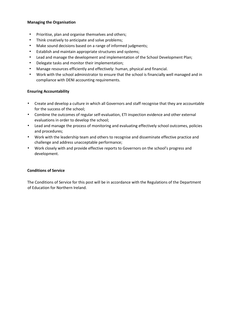#### **Managing the Organisation**

- Prioritise, plan and organise themselves and others;
- Think creatively to anticipate and solve problems;
- Make sound decisions based on a range of informed judgments;
- Establish and maintain appropriate structures and systems;
- Lead and manage the development and implementation of the School Development Plan;
- Delegate tasks and monitor their implementation;
- Manage resources efficiently and effectively: human, physical and financial.
- Work with the school administrator to ensure that the school is financially well managed and in compliance with DENI accounting requirements.

# **Ensuring Accountability**

- Create and develop a culture in which all Governors and staff recognise that they are accountable for the success of the school;
- Combine the outcomes of regular self-evaluation, ETI inspection evidence and other external evaluations in order to develop the school;
- Lead and manage the process of monitoring and evaluating effectively school outcomes, policies and procedures;
- Work with the leadership team and others to recognise and disseminate effective practice and challenge and address unacceptable performance;
- Work closely with and provide effective reports to Governors on the school's progress and development.

# **Conditions of Service**

The Conditions of Service for this post will be in accordance with the Regulations of the Department of Education for Northern Ireland.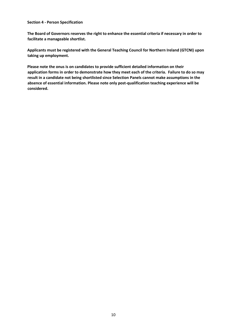#### **Section 4 - Person Specification**

**The Board of Governors reserves the right to enhance the essential criteria if necessary in order to facilitate a manageable shortlist.** 

**Applicants must be registered with the General Teaching Council for Northern Ireland (GTCNI) upon taking up employment.** 

**Please note the onus is on candidates to provide sufficient detailed information on their application forms in order to demonstrate how they meet each of the criteria. Failure to do so may result in a candidate not being shortlisted since Selection Panels cannot make assumptions in the absence of essential information. Please note only post-qualification teaching experience will be considered.**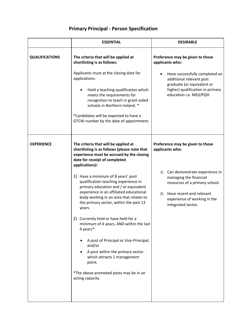# **Primary Principal - Person Specification**

|                       | <b>ESSENTIAL</b>                                                                                                                                                                                                                                                                                                                                                                                                                                                                                                                                                                                                                                                                                                                                        | <b>DESIRABLE</b>                                                                                                                                                                                                                               |
|-----------------------|---------------------------------------------------------------------------------------------------------------------------------------------------------------------------------------------------------------------------------------------------------------------------------------------------------------------------------------------------------------------------------------------------------------------------------------------------------------------------------------------------------------------------------------------------------------------------------------------------------------------------------------------------------------------------------------------------------------------------------------------------------|------------------------------------------------------------------------------------------------------------------------------------------------------------------------------------------------------------------------------------------------|
| <b>QUALIFICATIONS</b> | The criteria that will be applied at<br>shortlisting is as follows:<br>Applicants must at the closing date for<br>applications:<br>Hold a teaching qualification which<br>meets the requirements for<br>recognition to teach in grant-aided<br>schools in Northern Ireland. *<br>*Candidates will be expected to have a<br>GTCNI number by the date of appointment.                                                                                                                                                                                                                                                                                                                                                                                     | Preference may be given to those<br>applicants who:<br>Have successfully completed an<br>additional relevant post<br>graduate (or equivalent or<br>higher) qualification in primary<br>education i.e. MEd/PQH.                                 |
| <b>EXPERIENCE</b>     | The criteria that will be applied at<br>shortlisting is as follows (please note that<br>experience must be accrued by the closing<br>date for receipt of completed<br>applications):<br>Have a minimum of 8 years' post<br>1)<br>qualification teaching experience in<br>primary education and / or equivalent<br>experience in an affiliated educational<br>body working in an area that relates to<br>the primary sector, within the past 13<br>years.<br>2) Currently hold or have held for a<br>minimum of 4 years, AND within the last<br>9 years*:<br>A post of Principal or Vice-Principal;<br>and/or<br>A post within the primary sector<br>which attracts 1 management<br>point.<br>*The above promoted posts may be in an<br>acting capacity. | Preference may be given to those<br>applicants who:<br>Can demonstrate experience in<br>1)<br>managing the financial<br>resources of a primary school.<br>Have recent and relevant<br>2)<br>experience of working in the<br>integrated sector. |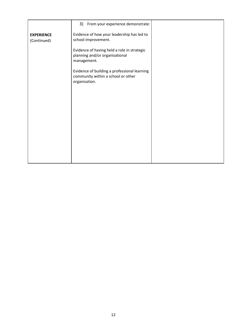|                                  | 3)<br>From your experience demonstrate:                                                             |  |
|----------------------------------|-----------------------------------------------------------------------------------------------------|--|
| <b>EXPERIENCE</b><br>(Continued) | Evidence of how your leadership has led to<br>school improvement.                                   |  |
|                                  | Evidence of having held a role in strategic<br>planning and/or organisational<br>management.        |  |
|                                  | Evidence of building a professional learning<br>community within a school or other<br>organisation. |  |
|                                  |                                                                                                     |  |
|                                  |                                                                                                     |  |
|                                  |                                                                                                     |  |
|                                  |                                                                                                     |  |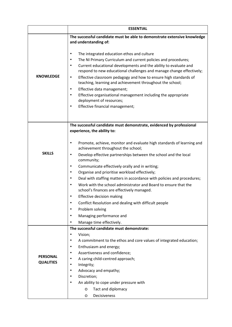|                  | <b>ESSENTIAL</b>                                                                                                                                      |  |
|------------------|-------------------------------------------------------------------------------------------------------------------------------------------------------|--|
|                  | The successful candidate must be able to demonstrate extensive knowledge                                                                              |  |
|                  | and understanding of:                                                                                                                                 |  |
|                  | The integrated education ethos and culture<br>٠                                                                                                       |  |
|                  | The NI Primary Curriculum and current policies and procedures;<br>٠                                                                                   |  |
|                  | Current educational developments and the ability to evaluate and<br>$\bullet$<br>respond to new educational challenges and manage change effectively; |  |
| <b>KNOWLEDGE</b> | Effective classroom pedagogy and how to ensure high standards of<br>$\bullet$<br>teaching, learning and achievement throughout the school;            |  |
|                  | Effective data management;<br>$\bullet$                                                                                                               |  |
|                  | Effective organisational management including the appropriate<br>٠                                                                                    |  |
|                  | deployment of resources;                                                                                                                              |  |
|                  | Effective financial management;<br>٠                                                                                                                  |  |
|                  |                                                                                                                                                       |  |
|                  | The successful candidate must demonstrate, evidenced by professional                                                                                  |  |
|                  | experience, the ability to:                                                                                                                           |  |
|                  |                                                                                                                                                       |  |
|                  | Promote, achieve, monitor and evaluate high standards of learning and<br>٠<br>achievement throughout the school;                                      |  |
| <b>SKILLS</b>    | Develop effective partnerships between the school and the local<br>$\bullet$                                                                          |  |
|                  | community;                                                                                                                                            |  |
|                  | Communicate effectively orally and in writing;<br>٠                                                                                                   |  |
|                  | Organise and prioritise workload effectively;<br>٠                                                                                                    |  |
|                  | Deal with staffing matters in accordance with policies and procedures;<br>٠                                                                           |  |
|                  | Work with the school administrator and Board to ensure that the<br>$\bullet$<br>school's finances are effectively managed.                            |  |
|                  | <b>Effective decision making</b>                                                                                                                      |  |
|                  | Conflict Resolution and dealing with difficult people<br>٠                                                                                            |  |
|                  | Problem solving<br>٠                                                                                                                                  |  |
|                  | Managing performance and<br>٠                                                                                                                         |  |
|                  | Manage time effectively.<br>٠                                                                                                                         |  |
|                  | The successful candidate must demonstrate:                                                                                                            |  |
|                  | Vision;<br>٠                                                                                                                                          |  |
|                  | A commitment to the ethos and core values of integrated education;<br>٠                                                                               |  |
|                  | Enthusiasm and energy;<br>٠<br>Assertiveness and confidence;<br>٠                                                                                     |  |
| <b>PERSONAL</b>  | A caring child-centred approach;<br>٠                                                                                                                 |  |
| <b>QUALITIES</b> | Integrity;<br>٠                                                                                                                                       |  |
|                  | Advocacy and empathy;<br>٠                                                                                                                            |  |
|                  | Discretion;<br>٠                                                                                                                                      |  |
|                  | An ability to cope under pressure with<br>٠                                                                                                           |  |
|                  | Tact and diplomacy<br>O                                                                                                                               |  |
|                  | Decisiveness<br>O                                                                                                                                     |  |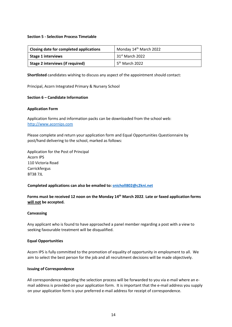#### **Section 5 - Selection Process Timetable**

| Closing date for completed applications | Monday 14 <sup>th</sup> March 2022 |
|-----------------------------------------|------------------------------------|
| <b>Stage 1 interviews</b>               | $31st$ March 2022                  |
| Stage 2 interviews (if required)        | 5 <sup>th</sup> March 2022         |

**Shortlisted** candidates wishing to discuss any aspect of the appointment should contact:

Principal, Acorn Integrated Primary & Nursery School

#### **Section 6 – Candidate Information**

#### **Application Form**

Application forms and information packs can be downloaded from the school web: [http://www.acornips.com](http://www.acornips.com/)

Please complete and return your application form and Equal Opportunities Questionnaire by post/hand delivering to the school, marked as follows:

Application for the Post of Principal Acorn IPS 110 Victoria Road Carrickfergus BT38 7JL

#### **Completed applications can also be emailed to: [snicholl802@c2kni.net](mailto:snicholl802@c2kni.net)**

**Forms must be received 12 noon on the Monday 14th March 2022**. **Late or faxed application forms will not be accepted.**

#### **Canvassing**

Any applicant who is found to have approached a panel member regarding a post with a view to seeking favourable treatment will be disqualified.

#### **Equal Opportunities**

Acorn IPS is fully committed to the promotion of equality of opportunity in employment to all. We aim to select the best person for the job and all recruitment decisions will be made objectively.

#### **Issuing of Correspondence**

All correspondence regarding the selection process will be forwarded to you via e-mail where an email address is provided on your application form. It is important that the e-mail address you supply on your application form is your preferred e-mail address for receipt of correspondence.